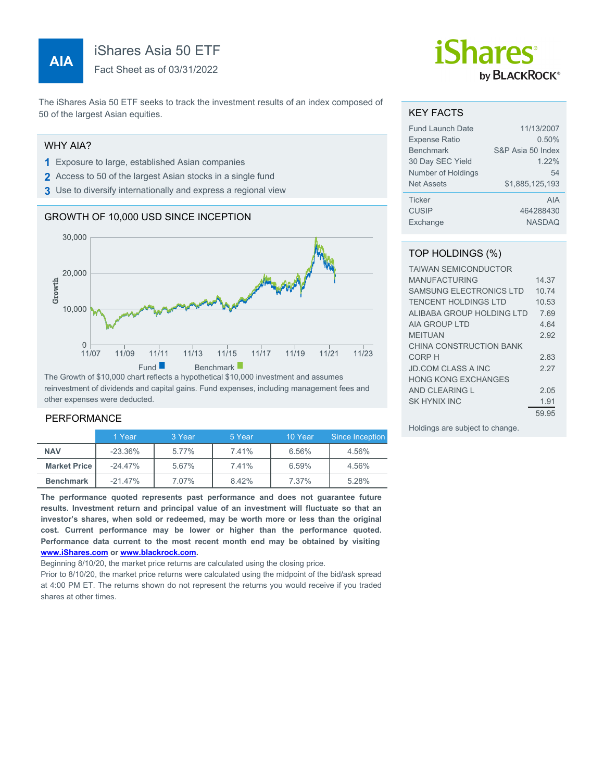# **AIA**

iShares Asia 50 ETF

Fact Sheet as of 03/31/2022

The iShares Asia 50 ETF seeks to track the investment results of an index composed of 50 of the largest Asian equities.

## WHY AIA?

- **1** Exposure to large, established Asian companies
- **2** Access to 50 of the largest Asian stocks in a single fund
- **3** Use to diversify internationally and express a regional view

## GROWTH OF 10,000 USD SINCE INCEPTION



The Growth of \$10,000 chart reflects a hypothetical \$10,000 investment and assumes reinvestment of dividends and capital gains. Fund expenses, including management fees and other expenses were deducted.

#### PERFORMANCE

|                     | 1 Year     | 3 Year | 5 Year | 10 Year | Since Inception |
|---------------------|------------|--------|--------|---------|-----------------|
| <b>NAV</b>          | $-23.36\%$ | 5.77%  | 7.41%  | 6.56%   | 4.56%           |
| <b>Market Price</b> | $-24.47\%$ | 5.67%  | 7.41%  | 6.59%   | 4.56%           |
| <b>Benchmark</b>    | $-21.47\%$ | 7.07%  | 8.42%  | 7.37%   | 5.28%           |

**The performance quoted represents past performance and does not guarantee future results. Investment return and principal value of an investment will fluctuate so that an investor's shares, when sold or redeemed, may be worth more or less than the original cost. Current performance may be lower or higher than the performance quoted. Performance data current to the most recent month end may be obtained by visiting [www.iShares.com](http://www.iShares.com) or [www.blackrock.com](http://www.blackrock.com).**

Beginning 8/10/20, the market price returns are calculated using the closing price.

Prior to 8/10/20, the market price returns were calculated using the midpoint of the bid/ask spread at 4:00 PM ET. The returns shown do not represent the returns you would receive if you traded shares at other times.

# *iShares* by **BLACKROCK**®

#### KEY FACTS

| <b>Fund Launch Date</b> | 11/13/2007        |
|-------------------------|-------------------|
| <b>Expense Ratio</b>    | 0.50%             |
| <b>Benchmark</b>        | S&P Asia 50 Index |
| 30 Day SEC Yield        | 1.22%             |
| Number of Holdings      | 54                |
| <b>Net Assets</b>       | \$1,885,125,193   |
| <b>Ticker</b>           | AIA               |
| <b>CUSIP</b>            | 464288430         |
| Exchange                | <b>NASDAQ</b>     |

### TOP HOLDINGS (%)

| <b>TAIWAN SEMICONDUCTOR</b>    |       |
|--------------------------------|-------|
| <b>MANUFACTURING</b>           | 14.37 |
| <b>SAMSUNG ELECTRONICS LTD</b> | 10 74 |
| TENCENT HOLDINGS LTD           | 10.53 |
| ALIBABA GROUP HOLDING LTD      | 7.69  |
| <b>AIA GROUP LTD</b>           | 4.64  |
| <b>MEITUAN</b>                 | 2.92  |
| CHINA CONSTRUCTION BANK        |       |
| CORP H                         | 283   |
| <b>JD.COM CLASS A INC</b>      | 2 27  |
| HONG KONG FXCHANGES            |       |
| AND CLEARING L                 | 2.05  |
| SK HYNIX INC                   | 1.91  |
|                                | 59.95 |

Holdings are subject to change.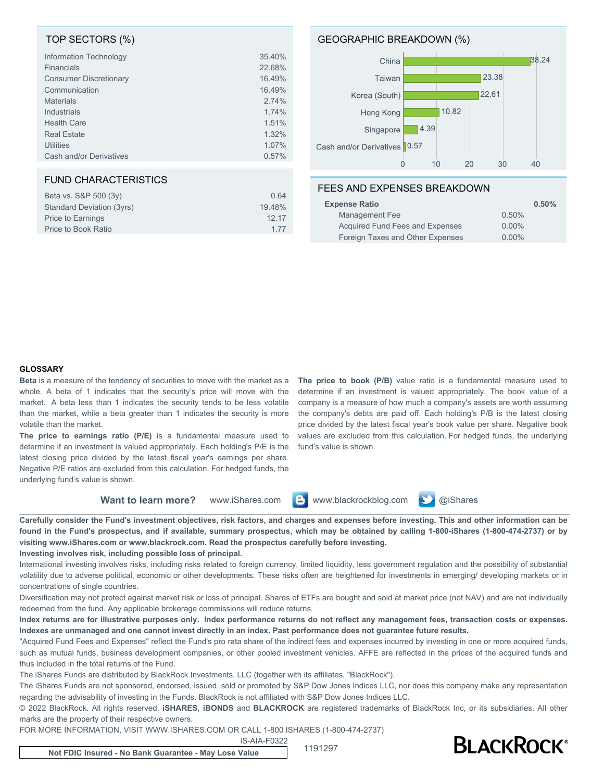#### TOP SECTORS (%)

| Information Technology        | 35.40% |
|-------------------------------|--------|
| <b>Financials</b>             | 22.68% |
| <b>Consumer Discretionary</b> | 16.49% |
| Communication                 | 16.49% |
| <b>Materials</b>              | 2.74%  |
| Industrials                   | 1.74%  |
| <b>Health Care</b>            | 1.51%  |
| <b>Real Estate</b>            | 1.32%  |
| <b>Utilities</b>              | 1.07%  |
| Cash and/or Derivatives       | 0.57%  |

### FUND CHARACTERISTICS

| Beta vs. S&P 500 (3y)     | 0.64   |
|---------------------------|--------|
| Standard Deviation (3yrs) | 19.48% |
| Price to Earnings         | 12 17  |
| Price to Book Ratio       | 177    |

#### GEOGRAPHIC BREAKDOWN (%)



#### FEES AND EXPENSES BREAKDOWN

| <b>Expense Ratio</b>             | 0.50%    |
|----------------------------------|----------|
| Management Fee                   | 0.50%    |
| Acquired Fund Fees and Expenses  | $0.00\%$ |
| Foreign Taxes and Other Expenses | $0.00\%$ |

#### **GLOSSARY**

**Beta** is a measure of the tendency of securities to move with the market as a whole. A beta of 1 indicates that the security's price will move with the market. A beta less than 1 indicates the security tends to be less volatile than the market, while a beta greater than 1 indicates the security is more volatile than the market.

**The price to earnings ratio (P/E)** is a fundamental measure used to determine if an investment is valued appropriately. Each holding's P/E is the latest closing price divided by the latest fiscal year's earnings per share. Negative P/E ratios are excluded from this calculation. For hedged funds, the underlying fund's value is shown.

**The price to book (P/B)** value ratio is a fundamental measure used to determine if an investment is valued appropriately. The book value of a company is a measure of how much a company's assets are worth assuming the company's debts are paid off. Each holding's P/B is the latest closing price divided by the latest fiscal year's book value per share. Negative book values are excluded from this calculation. For hedged funds, the underlying fund's value is shown.

**Want to learn more?** www.iShares.com **C** www.blackrockblog.com **C** @iShares



**Carefully consider the Fund's investment objectives, risk factors, and charges and expenses before investing. This and other information can be found in the Fund's prospectus, and if available, summary prospectus, which may be obtained by calling 1-800-iShares (1-800-474-2737) or by visiting www.iShares.com or www.blackrock.com. Read the prospectus carefully before investing.**

#### **Investing involves risk, including possible loss of principal.**

International investing involves risks, including risks related to foreign currency, limited liquidity, less government regulation and the possibility of substantial volatility due to adverse political, economic or other developments. These risks often are heightened for investments in emerging/ developing markets or in concentrations of single countries.

Diversification may not protect against market risk or loss of principal. Shares of ETFs are bought and sold at market price (not NAV) and are not individually redeemed from the fund. Any applicable brokerage commissions will reduce returns.

**Index returns are for illustrative purposes only. Index performance returns do not reflect any management fees, transaction costs or expenses. Indexes are unmanaged and one cannot invest directly in an index. Past performance does not guarantee future results.**

"Acquired Fund Fees and Expenses" reflect the Fund's pro rata share of the indirect fees and expenses incurred by investing in one or more acquired funds, such as mutual funds, business development companies, or other pooled investment vehicles. AFFE are reflected in the prices of the acquired funds and thus included in the total returns of the Fund.

The iShares Funds are distributed by BlackRock Investments, LLC (together with its affiliates, "BlackRock").

The iShares Funds are not sponsored, endorsed, issued, sold or promoted by S&P Dow Jones Indices LLC, nor does this company make any representation regarding the advisability of investing in the Funds. BlackRock is not affiliated with S&P Dow Jones Indices LLC.

© 2022 BlackRock. All rights reserved. **iSHARES**, **iBONDS** and **BLACKROCK** are registered trademarks of BlackRock Inc, or its subsidiaries. All other marks are the property of their respective owners.

FOR MORE INFORMATION, VISIT WWW.ISHARES.COM OR CALL 1-800 ISHARES (1-800-474-2737)

iS-AIA-F0322